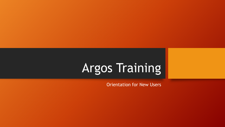# Argos Training

Orientation for New Users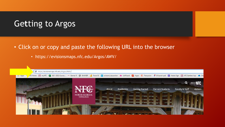## Ge**t**ting to Argos

- Click on or copy and paste the following URL into the browser
	- https://evisionsmaps.nfc.edu/Argos/AWV/

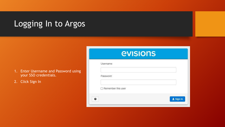# Logging In to Argos

- 1. Enter Username and Password using your SSO credentials.
- 2. Click Sign In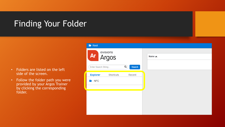## Finding Your Folder

- Folders are listed on the left side of the screen.
- Follow the folder path you were provided by your Argos Trainer by clicking the corresponding folder.

| Root                                                         |             |
|--------------------------------------------------------------|-------------|
| evisions<br>Ar<br>Argos                                      | Name $\sim$ |
| Q<br>Enter Search String<br>Search                           |             |
| <b>Explorer</b><br>Shortcuts<br>Recent<br>$\blacksquare$ NFC |             |
|                                                              |             |
|                                                              |             |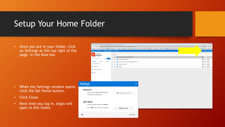#### Setup Your Home Folder

• Once you are in your folder, click on Settings at the top right of the page, in the blue bar.

- When the Settings window opens, click the Set Home button.
- Click Close.
- Next time you log in, Argos will open in this folder.



<u> The Communication of the Communication</u>

Apps 199 NFC Home | 1 myNFC (3 2021-2022 Course... 199 Banner 9 G BANNER | | Power BI | C evisions | elauncher & LibWizard | 20 Argos | E Percussion | 9 Bilaunch pad | 2 Adobe Sign | | NFC Sentin

◎☆★◎

○ Settings ○ Sign

Other bookmarks | [ Readin

 $\bigcirc$  < Details

 $\bigcirc$  < Details

 $\bigcirc$  < Details

**O** < Details

 $\bigcirc$  < Details

oogie ur<br>I

Root > Arec > Academic Affairs > Analis

evisions

 $\leftarrow \;\rightarrow\; \mathbb{G} \;\; \Leftrightarrow \;\; \hat{\blacksquare} \;\;$ evisionsmaps.nfc.edu/Argos/AWV/#explorer/NFC%00Academic%20Affairs%00\_Mai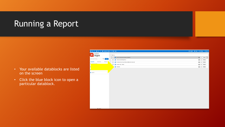# Running a Report

- Your available datablocks are listed on the screen
- Click the blue block icon to open a particular datablock.

| BRoot > Br NFC > Br Academic Affairs > Br _Main |                                                  | ⊙ English O Help O Settings O Sign Ou |
|-------------------------------------------------|--------------------------------------------------|---------------------------------------|
| evisions                                        |                                                  |                                       |
| Ar<br>Argos                                     | Name $\land$                                     |                                       |
| Enter Search String                             | Active Faculty and Advisors (SIAINST)            | $\bigcirc$ < Details                  |
| Q Search                                        | Classes by Building/Room                         | $\bullet$ $\sim$<br>Details           |
| Shortcuts<br>Recent<br><b>Explorer</b>          | Enrollment by Course Delivery Method by Term (2) | $\bullet$ $\sim$<br>Details           |
| Decept Entries                                  | Faculty Load - Yearly<br>$\star$                 | $\bullet$ <<br>Details                |
|                                                 | Schedule                                         | $\bullet$ <<br>Details                |
|                                                 |                                                  |                                       |
|                                                 |                                                  |                                       |
| <b>SOTY</b>                                     |                                                  |                                       |
|                                                 |                                                  |                                       |
|                                                 |                                                  |                                       |
|                                                 |                                                  |                                       |
|                                                 |                                                  |                                       |
|                                                 |                                                  |                                       |
|                                                 |                                                  |                                       |
|                                                 |                                                  |                                       |
|                                                 |                                                  |                                       |
|                                                 |                                                  |                                       |
|                                                 |                                                  |                                       |
|                                                 |                                                  |                                       |
|                                                 |                                                  |                                       |
|                                                 |                                                  |                                       |
|                                                 |                                                  |                                       |
|                                                 |                                                  |                                       |
| <b>CreenC</b>                                   |                                                  |                                       |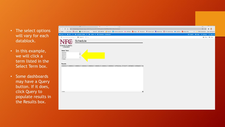- The select options will vary for each datablock.
- In this example, we will click a term listed in the Select Term box.
- Some dashboards may have a Query button. If it does, click Query to populate results in the Results box.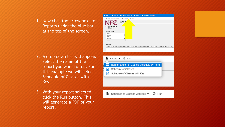1. Now click the arrow next to Reports under the blue bar at the top of the screen.

- 2. A drop down list will appear. Select the name of the report you want to run. For this example we will select Schedule of Classes with Key.
- 3. With your report selected, click the Run button. This will generate a PDF of your report.

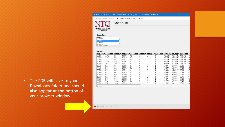• The PDF will save to your Downloads folder and should also appear at the botton of your browser window.

| $\Rightarrow$ Root $\rightarrow$                                                                                                                                                        | $\triangleright$ NFC $\triangleright$                                                   |                |                     | $\implies$ Main $\triangleright$ |                |        |                   |                       |                                                  |              |  |
|-----------------------------------------------------------------------------------------------------------------------------------------------------------------------------------------|-----------------------------------------------------------------------------------------|----------------|---------------------|----------------------------------|----------------|--------|-------------------|-----------------------|--------------------------------------------------|--------------|--|
| $\triangleright$ Academic Affairs $\triangleright$<br>Schedule - Dashboard<br>■ Saved Dashboard Settings ▼<br>Schedule of Classes with Key $\blacktriangleright$<br><b><i>O</i></b> Run |                                                                                         |                |                     |                                  |                |        |                   |                       |                                                  |              |  |
| Schedule                                                                                                                                                                                |                                                                                         |                |                     |                                  |                |        |                   |                       |                                                  |              |  |
| <b>NORTH FLORIDA</b><br><b>COLLEGE</b>                                                                                                                                                  |                                                                                         |                |                     |                                  |                |        |                   |                       |                                                  |              |  |
| <b>Select Term</b>                                                                                                                                                                      |                                                                                         |                |                     |                                  |                |        |                   |                       |                                                  |              |  |
| <b>ZUZ13U</b><br>202120                                                                                                                                                                 |                                                                                         |                |                     |                                  |                |        |                   |                       |                                                  |              |  |
| 202110                                                                                                                                                                                  |                                                                                         |                |                     |                                  |                |        |                   |                       |                                                  |              |  |
| 202030<br>202020                                                                                                                                                                        |                                                                                         |                |                     |                                  |                |        |                   |                       |                                                  |              |  |
| 77 items, 1 selected                                                                                                                                                                    |                                                                                         |                |                     |                                  |                |        |                   |                       |                                                  |              |  |
| Results                                                                                                                                                                                 | SSBSECT SSBSECT SSBSECT SSBSECT SSBSECT SSBSECT SSBSECT SSBSECT SPRIDEN STVDEPT SSRMEET |                |                     |                                  |                |        |                   |                       |                                                  |              |  |
| 202110<br>202110                                                                                                                                                                        | ACG<br>ACG                                                                              | 2021<br>2021   | 10003<br>10212      | 02<br>03                         | Α<br>Α         | D<br>D |                   |                       | Brave H Account ONLINE<br>Brave H Account ONLINE |              |  |
| 202110                                                                                                                                                                                  | ACG                                                                                     | 2071           | 10211               | 01                               | Α              | D      |                   |                       | Brave H Account ONLINE                           |              |  |
| 202110                                                                                                                                                                                  | ACG                                                                                     | 2100           | 10004               | 01                               | Α              | D      |                   |                       | Brave H Account ONLINE                           |              |  |
| 202110                                                                                                                                                                                  | <b>TAX</b>                                                                              | 2000           | 10171               | 01                               | Α              | D      |                   |                       | Brave H Account ONLINE                           |              |  |
| 202110<br>202110                                                                                                                                                                        | <b>FTI</b><br><b>FTI</b>                                                                | 0001<br>0001   | 10082<br>10082      | 01<br>01                         | Α<br>Α         | С<br>С | Ν<br>Ν            | Eustace<br>Eustace    | Advanc 0013<br>Advanc 0013                       |              |  |
| 202110                                                                                                                                                                                  | <b>FTI</b>                                                                              | 0002           | 10213               | 01                               | Α              | С      | Ν                 | Eustace               | Advanc 0013                                      |              |  |
| 202110                                                                                                                                                                                  | ETI                                                                                     | 0003           | 10214               | $\Omega$                         | Α              | C      | Ν                 | Eustace               | Advanc 0013                                      |              |  |
| 202110                                                                                                                                                                                  | ETI                                                                                     | 0004           | 10215               | 01                               | Α              | C      | Ν                 | Eustace               | Advanc 0013                                      |              |  |
| 202110<br>202110                                                                                                                                                                        | <b>FTI</b><br><b>FTI</b>                                                                | 0400<br>0431   | 10083<br>10084      | 01<br>01                         | Α<br>Α         | С<br>C | Ν<br>Ν            | Eustace<br>Eustace    | Advanc<br>Advanc 0013                            | 0013         |  |
| 202110                                                                                                                                                                                  | <b>FTI</b>                                                                              | 0432           | 10085               | 01                               | Α              | Ċ      | Ν                 | Eustace               | Advanc                                           | 0013         |  |
| 202110                                                                                                                                                                                  | <b>ETI</b>                                                                              | 0453           | 10086               | 01                               | Α              | C      | Ν                 | Eustace               | Advanc                                           | 0013         |  |
| 202110<br>000000                                                                                                                                                                        | ART<br>ADT                                                                              | 1300C<br>10000 | 10011<br>$\sqrt{2}$ | 01<br>$\sim$                     | Α<br>$\Lambda$ | Ċ      | Ν<br>$\mathbf{A}$ | Thomps<br>The company | Art<br>$A - A$                                   | 0010<br>0010 |  |
| 263 items                                                                                                                                                                               |                                                                                         |                |                     |                                  |                |        |                   |                       |                                                  |              |  |
|                                                                                                                                                                                         |                                                                                         |                |                     |                                  |                |        |                   |                       |                                                  |              |  |

Schedule of Classe....pdf ^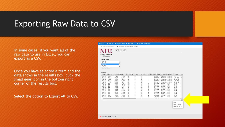#### Exporting Raw Data to CSV

In some cases, if you want all of the raw data to use in Excel, you can export as a CSV.

Once you have selected a term and the data shows in the results box, click the small gear icon in the bottom right corner of the results box.

Select the option to Export All to CSV.

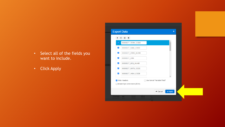- Select all of the fields you want to include.
- Click Apply

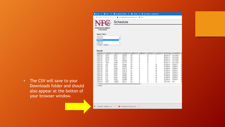- The CSV will save to your Downloads folder and should also appear at the botton of your browser window.
- FRoot > For NFC > For Academic Affairs > For Main > El Schedule Dashboard  $\equiv$  Saved Dashboard Settings  $\star$  | ■ Schedule of Classes with Key  $\star$  0 Run Schedule **NORTH FLORIDA COLLEGE** Select Term **ZUZ130** 202120 202110 202030 202020<br>77 items, 1 selected **Results** SSBSECT SSBSECT SSBSECT SSBSECT SSBSECT SSBSECT SSBSECT SSBSECT SPRIDEN STVDEPT S 202110 ACG 2021 10003  $02$ A D Brave H... Account. 202110 ACG 2021 10212 03 Α D Brave H... Account. 202110 ACG 2071 10211  $01$ D A Brave H... Account. 202110 ACG 2100 10004 D Account. 01 Brave H. Α 202110 **TAX** 2000 10171 D  $01$ A Brave H. Account. 10082  $01$  $\mathsf{C}$ 202110 ETI 0001 A Eustace Advanc. N 10082  $01$  $\mathbf C$ 202110 ETI 0001 Α N Eustace Advanc.  $\check{c}$ 10213  $01$ 202110 ETI 0002  $\mathsf{A}$ N Eustace Advanc. 202110 ETI 0003 10214  $\overline{0}$ A N Eustace Advanc. 0004 10215  $01$  $\mathbb C$ 202110 ETI  $\mathsf{A}$ N Eustace Advanc.  $\check{c}$ 202110 ETI 0400 10083  $01$ A N Eustace Advanc. 202110 ETI 0431 10084  $01$  $\overline{A}$ N Advanc. Eustace  $\check{c}$ 202110 **FTI** 0432 10085  $01$ N Eustace Advanc.  $\mathsf{A}$ 202110 ETI 0453 10086  $01$ N Advanc. A Eustace  $\overline{C}$ 202110 **ART** 1300C 10011  $01$ N Thomps... Art A  $10000$  $\bigcap_{n=1}^{n} \bigcap_{n=1}^{n} A_n \cup A_n$  $AD$  $10010$  $\sim$ **TL.L.L.**  $A \sim$ 263 items 图 Schedule - Dashbo....csv へ Schedule of Classe....pdf ~